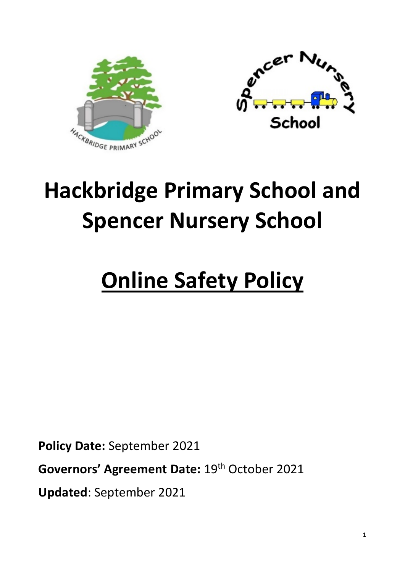



# **Hackbridge Primary School and Spencer Nursery School**

# **Online Safety Policy**

**Policy Date:** September 2021

Governors' Agreement Date: 19<sup>th</sup> October 2021

**Updated**: September 2021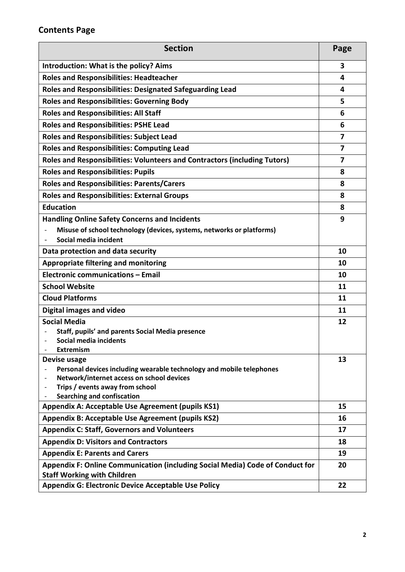# **Contents Page**

| <b>Section</b>                                                                                   | Page |
|--------------------------------------------------------------------------------------------------|------|
| Introduction: What is the policy? Aims                                                           | 3    |
| <b>Roles and Responsibilities: Headteacher</b>                                                   | 4    |
| <b>Roles and Responsibilities: Designated Safeguarding Lead</b>                                  | 4    |
| <b>Roles and Responsibilities: Governing Body</b>                                                | 5    |
| <b>Roles and Responsibilities: All Staff</b>                                                     | 6    |
| <b>Roles and Responsibilities: PSHE Lead</b>                                                     | 6    |
| <b>Roles and Responsibilities: Subject Lead</b>                                                  | 7    |
| <b>Roles and Responsibilities: Computing Lead</b>                                                | 7    |
| Roles and Responsibilities: Volunteers and Contractors (including Tutors)                        | 7    |
| <b>Roles and Responsibilities: Pupils</b>                                                        | 8    |
| <b>Roles and Responsibilities: Parents/Carers</b>                                                | 8    |
| <b>Roles and Responsibilities: External Groups</b>                                               | 8    |
| <b>Education</b>                                                                                 | 8    |
| <b>Handling Online Safety Concerns and Incidents</b>                                             | 9    |
| Misuse of school technology (devices, systems, networks or platforms)                            |      |
| Social media incident                                                                            |      |
| Data protection and data security                                                                | 10   |
| <b>Appropriate filtering and monitoring</b>                                                      | 10   |
| <b>Electronic communications - Email</b>                                                         | 10   |
| <b>School Website</b>                                                                            | 11   |
| <b>Cloud Platforms</b>                                                                           | 11   |
| <b>Digital images and video</b>                                                                  | 11   |
| <b>Social Media</b>                                                                              | 12   |
| Staff, pupils' and parents Social Media presence<br>Social media incidents                       |      |
| <b>Extremism</b>                                                                                 |      |
| Devise usage                                                                                     | 13   |
| Personal devices including wearable technology and mobile telephones                             |      |
| Network/internet access on school devices<br>Trips / events away from school                     |      |
| <b>Searching and confiscation</b>                                                                |      |
| Appendix A: Acceptable Use Agreement (pupils KS1)                                                | 15   |
| Appendix B: Acceptable Use Agreement (pupils KS2)                                                | 16   |
| <b>Appendix C: Staff, Governors and Volunteers</b>                                               | 17   |
| <b>Appendix D: Visitors and Contractors</b>                                                      | 18   |
| <b>Appendix E: Parents and Carers</b>                                                            | 19   |
| Appendix F: Online Communication (including Social Media) Code of Conduct for                    | 20   |
| <b>Staff Working with Children</b><br><b>Appendix G: Electronic Device Acceptable Use Policy</b> | 22   |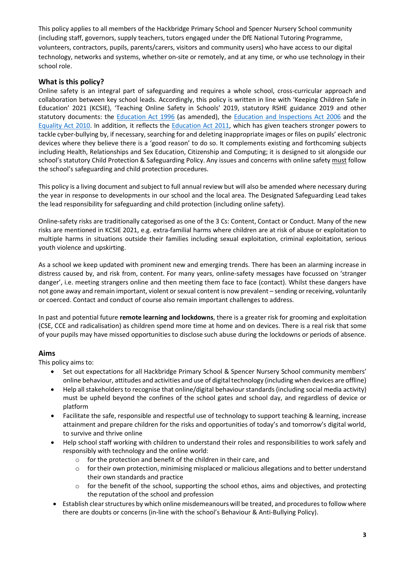This policy applies to all members of the Hackbridge Primary School and Spencer Nursery School community (including staff, governors, supply teachers, tutors engaged under the DfE National Tutoring Programme, volunteers, contractors, pupils, parents/carers, visitors and community users) who have access to our digital technology, networks and systems, whether on-site or remotely, and at any time, or who use technology in their school role.

# **What is this policy?**

Online safety is an integral part of safeguarding and requires a whole school, cross-curricular approach and collaboration between key school leads. Accordingly, this policy is written in line with 'Keeping Children Safe in Education' 2021 (KCSIE), 'Teaching Online Safety in Schools' 2019, statutory RSHE guidance 2019 and other statutory documents: the [Education Act 1996](https://www.legislation.gov.uk/ukpga/1996/56/contents) (as amended), the [Education and Inspections Act 2006](https://www.legislation.gov.uk/ukpga/2006/40/contents) and the [Equality Act 2010.](https://www.legislation.gov.uk/ukpga/2010/15/contents) In addition, it reflects the [Education Act 2011,](http://www.legislation.gov.uk/ukpga/2011/21/contents/enacted) which has given teachers stronger powers to tackle cyber-bullying by, if necessary, searching for and deleting inappropriate images or files on pupils' electronic devices where they believe there is a 'good reason' to do so. It complements existing and forthcoming subjects including Health, Relationships and Sex Education, Citizenship and Computing; it is designed to sit alongside our school's statutory Child Protection & Safeguarding Policy. Any issues and concerns with online safety must follow the school's safeguarding and child protection procedures.

This policy is a living document and subject to full annual review but will also be amended where necessary during the year in response to developments in our school and the local area. The Designated Safeguarding Lead takes the lead responsibility for safeguarding and child protection (including online safety).

Online-safety risks are traditionally categorised as one of the 3 Cs: Content, Contact or Conduct. Many of the new risks are mentioned in KCSIE 2021, e.g. extra-familial harms where children are at risk of abuse or exploitation to multiple harms in situations outside their families including sexual exploitation, criminal exploitation, serious youth violence and upskirting.

As a school we keep updated with prominent new and emerging trends. There has been an alarming increase in distress caused by, and risk from, content. For many years, online-safety messages have focussed on 'stranger danger', i.e. meeting strangers online and then meeting them face to face (contact). Whilst these dangers have not gone away and remain important, violent or sexual content is now prevalent – sending or receiving, voluntarily or coerced. Contact and conduct of course also remain important challenges to address.

In past and potential future **remote learning and lockdowns**, there is a greater risk for grooming and exploitation (CSE, CCE and radicalisation) as children spend more time at home and on devices. There is a real risk that some of your pupils may have missed opportunities to disclose such abuse during the lockdowns or periods of absence.

# **Aims**

This policy aims to:

- Set out expectations for all Hackbridge Primary School & Spencer Nursery School community members' online behaviour, attitudes and activities and use of digital technology (including when devices are offline)
- Help all stakeholders to recognise that online/digital behaviour standards (including social media activity) must be upheld beyond the confines of the school gates and school day, and regardless of device or platform
- Facilitate the safe, responsible and respectful use of technology to support teaching & learning, increase attainment and prepare children for the risks and opportunities of today's and tomorrow's digital world, to survive and thrive online
- Help school staff working with children to understand their roles and responsibilities to work safely and responsibly with technology and the online world:
	- o for the protection and benefit of the children in their care, and
	- o for their own protection, minimising misplaced or malicious allegations and to better understand their own standards and practice
	- $\circ$  for the benefit of the school, supporting the school ethos, aims and objectives, and protecting the reputation of the school and profession
- Establish clear structures by which online misdemeanours will be treated, and procedures to follow where there are doubts or concerns (in-line with the school's Behaviour & Anti-Bullying Policy).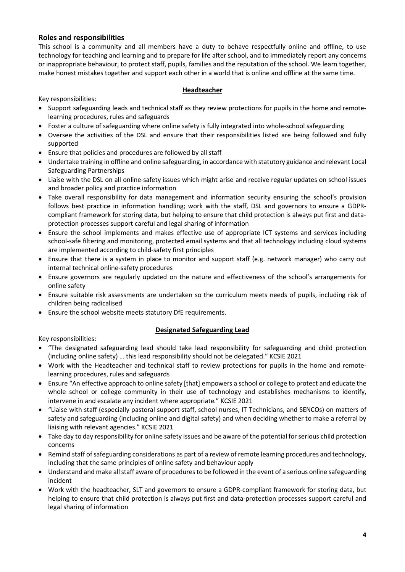# **Roles and responsibilities**

This school is a community and all members have a duty to behave respectfully online and offline, to use technology for teaching and learning and to prepare for life after school, and to immediately report any concerns or inappropriate behaviour, to protect staff, pupils, families and the reputation of the school. We learn together, make honest mistakes together and support each other in a world that is online and offline at the same time.

#### **Headteacher**

Key responsibilities:

- Support safeguarding leads and technical staff as they review protections for pupils in the home and remotelearning procedures, rules and safeguards
- Foster a culture of safeguarding where online safety is fully integrated into whole-school safeguarding
- Oversee the activities of the DSL and ensure that their responsibilities listed are being followed and fully supported
- Ensure that policies and procedures are followed by all staff
- Undertake training in offline and online safeguarding, in accordance with statutory guidance and relevant Local Safeguarding Partnerships
- Liaise with the DSL on all online-safety issues which might arise and receive regular updates on school issues and broader policy and practice information
- Take overall responsibility for data management and information security ensuring the school's provision follows best practice in information handling; work with the staff, DSL and governors to ensure a GDPRcompliant framework for storing data, but helping to ensure that child protection is always put first and dataprotection processes support careful and legal sharing of information
- Ensure the school implements and makes effective use of appropriate ICT systems and services including school-safe filtering and monitoring, protected email systems and that all technology including cloud systems are implemented according to child-safety first principles
- Ensure that there is a system in place to monitor and support staff (e.g. network manager) who carry out internal technical online-safety procedures
- Ensure governors are regularly updated on the nature and effectiveness of the school's arrangements for online safety
- Ensure suitable risk assessments are undertaken so the curriculum meets needs of pupils, including risk of children being radicalised
- Ensure the school website meets statutory DfE requirements.

# **Designated Safeguarding Lead**

- "The designated safeguarding lead should take lead responsibility for safeguarding and child protection (including online safety) … this lead responsibility should not be delegated." KCSIE 2021
- Work with the Headteacher and technical staff to review protections for pupils in the home and remotelearning procedures, rules and safeguards
- Ensure "An effective approach to online safety [that] empowers a school or college to protect and educate the whole school or college community in their use of technology and establishes mechanisms to identify, intervene in and escalate any incident where appropriate." KCSIE 2021
- "Liaise with staff (especially pastoral support staff, school nurses, IT Technicians, and SENCOs) on matters of safety and safeguarding (including online and digital safety) and when deciding whether to make a referral by liaising with relevant agencies." KCSIE 2021
- Take day to day responsibility for online safety issues and be aware of the potential for serious child protection concerns
- Remind staff of safeguarding considerations as part of a review of remote learning procedures and technology, including that the same principles of online safety and behaviour apply
- Understand and make all staff aware of procedures to be followed in the event of a serious online safeguarding incident
- Work with the headteacher, SLT and governors to ensure a GDPR-compliant framework for storing data, but helping to ensure that child protection is always put first and data-protection processes support careful and legal sharing of information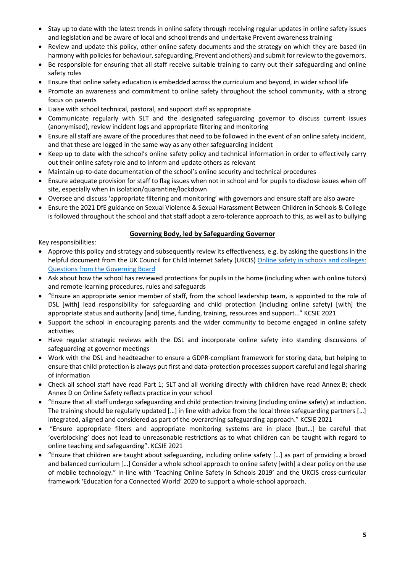- Stay up to date with the latest trends in online safety through receiving regular updates in online safety issues and legislation and be aware of local and school trends and undertake Prevent awareness training
- Review and update this policy, other online safety documents and the strategy on which they are based (in harmony with policies for behaviour, safeguarding, Prevent and others) and submit for review to the governors.
- Be responsible for ensuring that all staff receive suitable training to carry out their safeguarding and online safety roles
- Ensure that online safety education is embedded across the curriculum and beyond, in wider school life
- Promote an awareness and commitment to online safety throughout the school community, with a strong focus on parents
- Liaise with school technical, pastoral, and support staff as appropriate
- Communicate regularly with SLT and the designated safeguarding governor to discuss current issues (anonymised), review incident logs and appropriate filtering and monitoring
- Ensure all staff are aware of the procedures that need to be followed in the event of an online safety incident, and that these are logged in the same way as any other safeguarding incident
- Keep up to date with the school's online safety policy and technical information in order to effectively carry out their online safety role and to inform and update others as relevant
- Maintain up-to-date documentation of the school's online security and technical procedures
- Ensure adequate provision for staff to flag issues when not in school and for pupils to disclose issues when off site, especially when in isolation/quarantine/lockdown
- Oversee and discuss 'appropriate filtering and monitoring' with governors and ensure staff are also aware
- Ensure the 2021 DfE guidance on Sexual Violence & Sexual Harassment Between Children in Schools & College is followed throughout the school and that staff adopt a zero-tolerance approach to this, as well as to bullying

#### **Governing Body, led by Safeguarding Governor**

- Approve this policy and strategy and subsequently review its effectiveness, e.g. by asking the questions in the helpful document from the UK Council for Child Internet Safety (UKCIS) [Online safety in schools and colleges:](https://assets.publishing.service.gov.uk/government/uploads/system/uploads/attachment_data/file/562876/Guidance_for_School_Governors_-_Question_list.pdf)  [Questions from the Governing Board](https://assets.publishing.service.gov.uk/government/uploads/system/uploads/attachment_data/file/562876/Guidance_for_School_Governors_-_Question_list.pdf)
- Ask about how the school has reviewed protections for pupils in the home (including when with online tutors) and remote-learning procedures, rules and safeguards
- "Ensure an appropriate senior member of staff, from the school leadership team, is appointed to the role of DSL [with] lead responsibility for safeguarding and child protection (including online safety) [with] the appropriate status and authority [and] time, funding, training, resources and support…" KCSIE 2021
- Support the school in encouraging parents and the wider community to become engaged in online safety activities
- Have regular strategic reviews with the DSL and incorporate online safety into standing discussions of safeguarding at governor meetings
- Work with the DSL and headteacher to ensure a GDPR-compliant framework for storing data, but helping to ensure that child protection is always put first and data-protection processes support careful and legal sharing of information
- Check all school staff have read Part 1; SLT and all working directly with children have read Annex B; check Annex D on Online Safety reflects practice in your school
- "Ensure that all staff undergo safeguarding and child protection training (including online safety) at induction. The training should be regularly updated […] in line with advice from the local three safeguarding partners […] integrated, aligned and considered as part of the overarching safeguarding approach." KCSIE 2021
- "Ensure appropriate filters and appropriate monitoring systems are in place [but…] be careful that 'overblocking' does not lead to unreasonable restrictions as to what children can be taught with regard to online teaching and safeguarding". KCSIE 2021
- "Ensure that children are taught about safeguarding, including online safety […] as part of providing a broad and balanced curriculum […] Consider a whole school approach to online safety [with] a clear policy on the use of mobile technology." In-line with 'Teaching Online Safety in Schools 2019' and the UKCIS cross-curricular framework 'Education for a Connected World' 2020 to support a whole-school approach.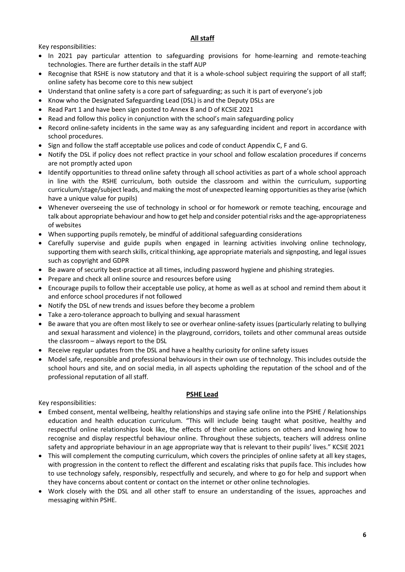## **All staff**

Key responsibilities:

- In 2021 pay particular attention to safeguarding provisions for home-learning and remote-teaching technologies. There are further details in the staff AUP
- Recognise that RSHE is now statutory and that it is a whole-school subject requiring the support of all staff; online safety has become core to this new subject
- Understand that online safety is a core part of safeguarding; as such it is part of everyone's job
- Know who the Designated Safeguarding Lead (DSL) is and the Deputy DSLs are
- Read Part 1 and have been sign posted to Annex B and D of KCSIE 2021
- Read and follow this policy in conjunction with the school's main safeguarding policy
- Record online-safety incidents in the same way as any safeguarding incident and report in accordance with school procedures.
- Sign and follow the staff acceptable use polices and code of conduct Appendix C, F and G.
- Notify the DSL if policy does not reflect practice in your school and follow escalation procedures if concerns are not promptly acted upon
- Identify opportunities to thread online safety through all school activities as part of a whole school approach in line with the RSHE curriculum, both outside the classroom and within the curriculum, supporting curriculum/stage/subject leads, and making the most of unexpected learning opportunities as they arise (which have a unique value for pupils)
- Whenever overseeing the use of technology in school or for homework or remote teaching, encourage and talk about appropriate behaviour and how to get help and consider potential risks and the age-appropriateness of websites
- When supporting pupils remotely, be mindful of additional safeguarding considerations
- Carefully supervise and guide pupils when engaged in learning activities involving online technology, supporting them with search skills, critical thinking, age appropriate materials and signposting, and legal issues such as copyright and GDPR
- Be aware of security best-practice at all times, including password hygiene and phishing strategies.
- Prepare and check all online source and resources before using
- Encourage pupils to follow their acceptable use policy, at home as well as at school and remind them about it and enforce school procedures if not followed
- Notify the DSL of new trends and issues before they become a problem
- Take a zero-tolerance approach to bullying and sexual harassment
- Be aware that you are often most likely to see or overhear online-safety issues (particularly relating to bullying and sexual harassment and violence) in the playground, corridors, toilets and other communal areas outside the classroom – always report to the DSL
- Receive regular updates from the DSL and have a healthy curiosity for online safety issues
- Model safe, responsible and professional behaviours in their own use of technology. This includes outside the school hours and site, and on social media, in all aspects upholding the reputation of the school and of the professional reputation of all staff.

#### **PSHE Lead**

- Embed consent, mental wellbeing, healthy relationships and staying safe online into the PSHE / Relationships education and health education curriculum. "This will include being taught what positive, healthy and respectful online relationships look like, the effects of their online actions on others and knowing how to recognise and display respectful behaviour online. Throughout these subjects, teachers will address online safety and appropriate behaviour in an age appropriate way that is relevant to their pupils' lives." KCSIE 2021
- This will complement the computing curriculum, which covers the principles of online safety at all key stages, with progression in the content to reflect the different and escalating risks that pupils face. This includes how to use technology safely, responsibly, respectfully and securely, and where to go for help and support when they have concerns about content or contact on the internet or other online technologies.
- Work closely with the DSL and all other staff to ensure an understanding of the issues, approaches and messaging within PSHE.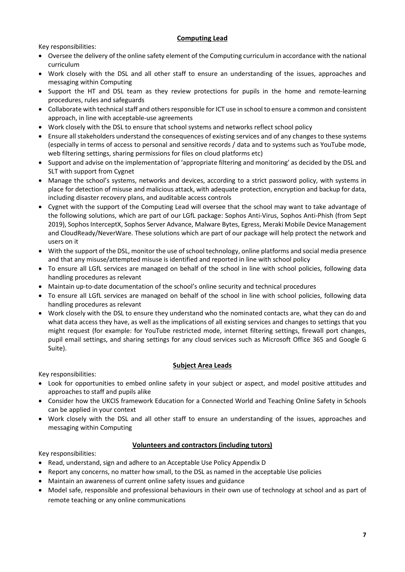# **Computing Lead**

Key responsibilities:

- Oversee the delivery of the online safety element of the Computing curriculum in accordance with the national curriculum
- Work closely with the DSL and all other staff to ensure an understanding of the issues, approaches and messaging within Computing
- Support the HT and DSL team as they review protections for pupils in the home and remote-learning procedures, rules and safeguards
- Collaborate with technical staff and others responsible for ICT use in school to ensure a common and consistent approach, in line with acceptable-use agreements
- Work closely with the DSL to ensure that school systems and networks reflect school policy
- Ensure all stakeholders understand the consequences of existing services and of any changes to these systems (especially in terms of access to personal and sensitive records / data and to systems such as YouTube mode, web filtering settings, sharing permissions for files on cloud platforms etc)
- Support and advise on the implementation of 'appropriate filtering and monitoring' as decided by the DSL and SLT with support from Cygnet
- Manage the school's systems, networks and devices, according to a strict password policy, with systems in place for detection of misuse and malicious attack, with adequate protection, encryption and backup for data, including disaster recovery plans, and auditable access controls
- Cygnet with the support of the Computing Lead will oversee that the school may want to take advantage of the following solutions, which are part of our LGfL package: Sophos Anti-Virus, Sophos Anti-Phish (from Sept 2019), Sophos InterceptX, Sophos Server Advance, Malware Bytes, Egress, Meraki Mobile Device Management and CloudReady/NeverWare. These solutions which are part of our package will help protect the network and users on it
- With the support of the DSL, monitor the use of school technology, online platforms and social media presence and that any misuse/attempted misuse is identified and reported in line with school policy
- To ensure all LGfL services are managed on behalf of the school in line with school policies, following data handling procedures as relevant
- Maintain up-to-date documentation of the school's online security and technical procedures
- To ensure all LGfL services are managed on behalf of the school in line with school policies, following data handling procedures as relevant
- Work closely with the DSL to ensure they understand who the nominated contacts are, what they can do and what data access they have, as well as the implications of all existing services and changes to settings that you might request (for example: for YouTube restricted mode, internet filtering settings, firewall port changes, pupil email settings, and sharing settings for any cloud services such as Microsoft Office 365 and Google G Suite).

# **Subject Area Leads**

Key responsibilities:

- Look for opportunities to embed online safety in your subject or aspect, and model positive attitudes and approaches to staff and pupils alike
- Consider how the UKCIS framework Education for a Connected World and Teaching Online Safety in Schools can be applied in your context
- Work closely with the DSL and all other staff to ensure an understanding of the issues, approaches and messaging within Computing

# **Volunteers and contractors (including tutors)**

- Read, understand, sign and adhere to an Acceptable Use Policy Appendix D
- Report any concerns, no matter how small, to the DSL as named in the acceptable Use policies
- Maintain an awareness of current online safety issues and guidance
- Model safe, responsible and professional behaviours in their own use of technology at school and as part of remote teaching or any online communications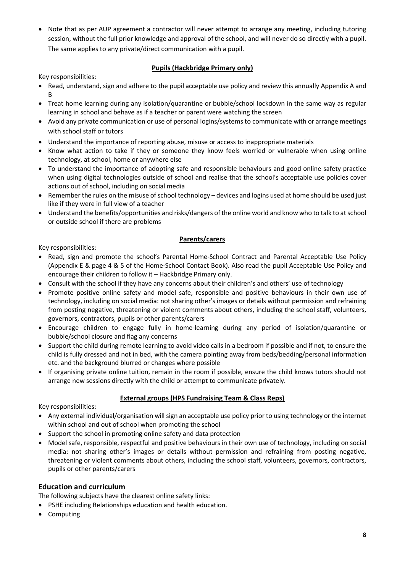• Note that as per AUP agreement a contractor will never attempt to arrange any meeting, including tutoring session, without the full prior knowledge and approval of the school, and will never do so directly with a pupil. The same applies to any private/direct communication with a pupil.

# **Pupils (Hackbridge Primary only)**

Key responsibilities:

- Read, understand, sign and adhere to the pupil acceptable use policy and review this annually Appendix A and B
- Treat home learning during any isolation/quarantine or bubble/school lockdown in the same way as regular learning in school and behave as if a teacher or parent were watching the screen
- Avoid any private communication or use of personal logins/systems to communicate with or arrange meetings with school staff or tutors
- Understand the importance of reporting abuse, misuse or access to inappropriate materials
- Know what action to take if they or someone they know feels worried or vulnerable when using online technology, at school, home or anywhere else
- To understand the importance of adopting safe and responsible behaviours and good online safety practice when using digital technologies outside of school and realise that the school's acceptable use policies cover actions out of school, including on social media
- Remember the rules on the misuse of school technology devices and logins used at home should be used just like if they were in full view of a teacher
- Understand the benefits/opportunities and risks/dangers of the online world and know who to talk to at school or outside school if there are problems

# **Parents/carers**

Key responsibilities:

- Read, sign and promote the school's Parental Home-School Contract and Parental Acceptable Use Policy (Appendix E & page 4 & 5 of the Home-School Contact Book). Also read the pupil Acceptable Use Policy and encourage their children to follow it – Hackbridge Primary only.
- Consult with the school if they have any concerns about their children's and others' use of technology
- Promote positive online safety and model safe, responsible and positive behaviours in their own use of technology, including on social media: not sharing other's images or details without permission and refraining from posting negative, threatening or violent comments about others, including the school staff, volunteers, governors, contractors, pupils or other parents/carers
- Encourage children to engage fully in home-learning during any period of isolation/quarantine or bubble/school closure and flag any concerns
- Support the child during remote learning to avoid video calls in a bedroom if possible and if not, to ensure the child is fully dressed and not in bed, with the camera pointing away from beds/bedding/personal information etc. and the background blurred or changes where possible
- If organising private online tuition, remain in the room if possible, ensure the child knows tutors should not arrange new sessions directly with the child or attempt to communicate privately.

# **External groups (HPS Fundraising Team & Class Reps)**

Key responsibilities:

- Any external individual/organisation will sign an acceptable use policy prior to using technology or the internet within school and out of school when promoting the school
- Support the school in promoting online safety and data protection
- Model safe, responsible, respectful and positive behaviours in their own use of technology, including on social media: not sharing other's images or details without permission and refraining from posting negative, threatening or violent comments about others, including the school staff, volunteers, governors, contractors, pupils or other parents/carers

# **Education and curriculum**

The following subjects have the clearest online safety links:

- PSHE including Relationships education and health education.
- Computing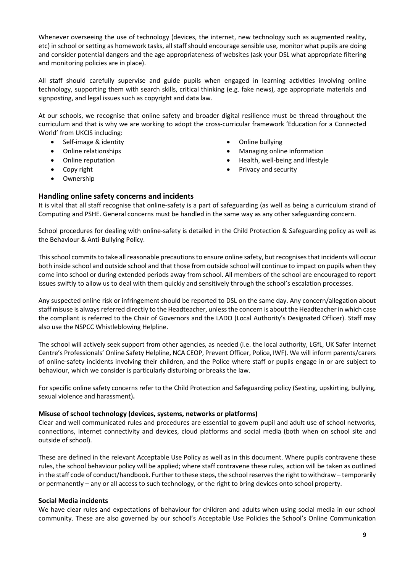Whenever overseeing the use of technology (devices, the internet, new technology such as augmented reality, etc) in school or setting as homework tasks, all staff should encourage sensible use, monitor what pupils are doing and consider potential dangers and the age appropriateness of websites (ask your DSL what appropriate filtering and monitoring policies are in place).

All staff should carefully supervise and guide pupils when engaged in learning activities involving online technology, supporting them with search skills, critical thinking (e.g. fake news), age appropriate materials and signposting, and legal issues such as copyright and data law.

At our schools, we recognise that online safety and broader digital resilience must be thread throughout the curriculum and that is why we are working to adopt the cross-curricular framework 'Education for a Connected World' from UKCIS including:

- Self-image & identity
- Online relationships
- Online reputation
- Copy right
- Ownership
- Online bullying
- Managing online information
- Health, well-being and lifestyle
- Privacy and security

# **Handling online safety concerns and incidents**

It is vital that all staff recognise that online-safety is a part of safeguarding (as well as being a curriculum strand of Computing and PSHE. General concerns must be handled in the same way as any other safeguarding concern.

School procedures for dealing with online-safety is detailed in the Child Protection & Safeguarding policy as well as the Behaviour & Anti-Bullying Policy.

This school commits to take all reasonable precautions to ensure online safety, but recognises that incidents will occur both inside school and outside school and that those from outside school will continue to impact on pupils when they come into school or during extended periods away from school. All members of the school are encouraged to report issues swiftly to allow us to deal with them quickly and sensitively through the school's escalation processes.

Any suspected online risk or infringement should be reported to DSL on the same day. Any concern/allegation about staff misuse is always referred directly to the Headteacher, unless the concern is about the Headteacher in which case the compliant is referred to the Chair of Governors and the LADO (Local Authority's Designated Officer). Staff may also use the NSPCC Whistleblowing Helpline.

The school will actively seek support from other agencies, as needed (i.e. the local authority, LGfL, UK Safer Internet Centre's Professionals' Online Safety Helpline, NCA CEOP, Prevent Officer, Police, IWF). We will inform parents/carers of online-safety incidents involving their children, and the Police where staff or pupils engage in or are subject to behaviour, which we consider is particularly disturbing or breaks the law.

For specific online safety concerns refer to the Child Protection and Safeguarding policy (Sexting, upskirting, bullying, sexual violence and harassment)**.** 

#### **Misuse of school technology (devices, systems, networks or platforms)**

Clear and well communicated rules and procedures are essential to govern pupil and adult use of school networks, connections, internet connectivity and devices, cloud platforms and social media (both when on school site and outside of school).

These are defined in the relevant Acceptable Use Policy as well as in this document. Where pupils contravene these rules, the school behaviour policy will be applied; where staff contravene these rules, action will be taken as outlined in the staff code of conduct/handbook. Further to these steps, the school reserves the right to withdraw – temporarily or permanently – any or all access to such technology, or the right to bring devices onto school property.

#### **Social Media incidents**

We have clear rules and expectations of behaviour for children and adults when using social media in our school community. These are also governed by our school's Acceptable Use Policies the School's Online Communication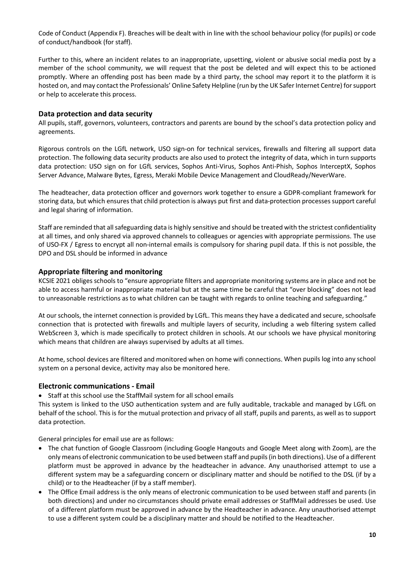Code of Conduct (Appendix F). Breaches will be dealt with in line with the school behaviour policy (for pupils) or code of conduct/handbook (for staff).

Further to this, where an incident relates to an inappropriate, upsetting, violent or abusive social media post by a member of the school community, we will request that the post be deleted and will expect this to be actioned promptly. Where an offending post has been made by a third party, the school may report it to the platform it is hosted on, and may contact the Professionals' Online Safety Helpline (run by the UK Safer Internet Centre) for support or help to accelerate this process.

#### **Data protection and data security**

All pupils, staff, governors, volunteers, contractors and parents are bound by the school's data protection policy and agreements.

Rigorous controls on the LGfL network, USO sign-on for technical services, firewalls and filtering all support data protection. The following data security products are also used to protect the integrity of data, which in turn supports data protection: USO sign on for LGfL services, Sophos Anti-Virus, Sophos Anti-Phish, Sophos InterceptX, Sophos Server Advance, Malware Bytes, Egress, Meraki Mobile Device Management and CloudReady/NeverWare.

The headteacher, data protection officer and governors work together to ensure a GDPR-compliant framework for storing data, but which ensures that child protection is always put first and data-protection processes support careful and legal sharing of information.

Staff are reminded that all safeguarding data is highly sensitive and should be treated with the strictest confidentiality at all times, and only shared via approved channels to colleagues or agencies with appropriate permissions. The use of USO-FX / Egress to encrypt all non-internal emails is compulsory for sharing pupil data. If this is not possible, the DPO and DSL should be informed in advance

#### **Appropriate filtering and monitoring**

KCSIE 2021 obliges schools to "ensure appropriate filters and appropriate monitoring systems are in place and not be able to access harmful or inappropriate material but at the same time be careful that "over blocking" does not lead to unreasonable restrictions as to what children can be taught with regards to online teaching and safeguarding."

At our schools, the internet connection is provided by LGfL. This means they have a dedicated and secure, schoolsafe connection that is protected with firewalls and multiple layers of security, including a web filtering system called WebScreen 3, which is made specifically to protect children in schools. At our schools we have physical monitoring which means that children are always supervised by adults at all times.

At home, school devices are filtered and monitored when on home wifi connections. When pupils log into any school system on a personal device, activity may also be monitored here.

#### **Electronic communications - Email**

• Staff at this school use the StaffMail system for all school emails

This system is linked to the USO authentication system and are fully auditable, trackable and managed by LGfL on behalf of the school. This is for the mutual protection and privacy of all staff, pupils and parents, as well as to support data protection.

General principles for email use are as follows:

- The chat function of Google Classroom (including Google Hangouts and Google Meet along with Zoom), are the only means of electronic communication to be used between staff and pupils(in both directions). Use of a different platform must be approved in advance by the headteacher in advance. Any unauthorised attempt to use a different system may be a safeguarding concern or disciplinary matter and should be notified to the DSL (if by a child) or to the Headteacher (if by a staff member).
- The Office Email address is the only means of electronic communication to be used between staff and parents (in both directions) and under no circumstances should private email addresses or StaffMail addresses be used. Use of a different platform must be approved in advance by the Headteacher in advance. Any unauthorised attempt to use a different system could be a disciplinary matter and should be notified to the Headteacher.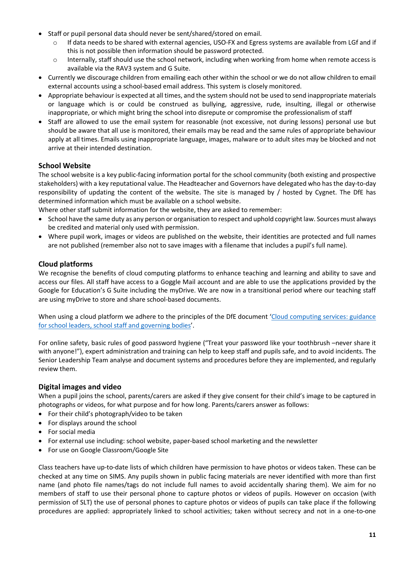- Staff or pupil personal data should never be sent/shared/stored on email.
	- If data needs to be shared with external agencies, USO-FX and Egress systems are available from LGf and if this is not possible then information should be password protected.
	- o Internally, staff should use the school network, including when working from home when remote access is available via the RAV3 system and G Suite.
- Currently we discourage children from emailing each other within the school or we do not allow children to email external accounts using a school-based email address. This system is closely monitored.
- Appropriate behaviour is expected at all times, and the system should not be used to send inappropriate materials or language which is or could be construed as bullying, aggressive, rude, insulting, illegal or otherwise inappropriate, or which might bring the school into disrepute or compromise the professionalism of staff
- Staff are allowed to use the email system for reasonable (not excessive, not during lessons) personal use but should be aware that all use is monitored, their emails may be read and the same rules of appropriate behaviour apply at all times. Emails using inappropriate language, images, malware or to adult sites may be blocked and not arrive at their intended destination.

#### **School Website**

The school website is a key public-facing information portal for the school community (both existing and prospective stakeholders) with a key reputational value. The Headteacher and Governors have delegated who has the day-to-day responsibility of updating the content of the website. The site is managed by / hosted by Cygnet. The DfE has determined information which must be available on a school website.

Where other staff submit information for the website, they are asked to remember:

- School have the same duty as any person or organisation to respect and uphold copyright law. Sources must always be credited and material only used with permission.
- Where pupil work, images or videos are published on the website, their identities are protected and full names are not published (remember also not to save images with a filename that includes a pupil's full name).

#### **Cloud platforms**

We recognise the benefits of cloud computing platforms to enhance teaching and learning and ability to save and access our files. All staff have access to a Goggle Mail account and are able to use the applications provided by the Google for Education's G Suite including the myDrive. We are now in a transitional period where our teaching staff are using myDrive to store and share school-based documents.

When using a cloud platform we adhere to the principles of the DfE document 'Cloud computing services: guidance [for school leaders, school staff and governing bodies'](https://www.gov.uk/government/publications/cloud-computing-how-schools-can-move-services-to-the-cloud).

For online safety, basic rules of good password hygiene ("Treat your password like your toothbrush –never share it with anyone!"), expert administration and training can help to keep staff and pupils safe, and to avoid incidents. The Senior Leadership Team analyse and document systems and procedures before they are implemented, and regularly review them.

#### **Digital images and video**

When a pupil joins the school, parents/carers are asked if they give consent for their child's image to be captured in photographs or videos, for what purpose and for how long. Parents/carers answer as follows:

- For their child's photograph/video to be taken
- For displays around the school
- For social media
- For external use including: school website, paper-based school marketing and the newsletter
- For use on Google Classroom/Google Site

Class teachers have up-to-date lists of which children have permission to have photos or videos taken. These can be checked at any time on SIMS. Any pupils shown in public facing materials are never identified with more than first name (and photo file names/tags do not include full names to avoid accidentally sharing them). We aim for no members of staff to use their personal phone to capture photos or videos of pupils. However on occasion (with permission of SLT) the use of personal phones to capture photos or videos of pupils can take place if the following procedures are applied: appropriately linked to school activities; taken without secrecy and not in a one-to-one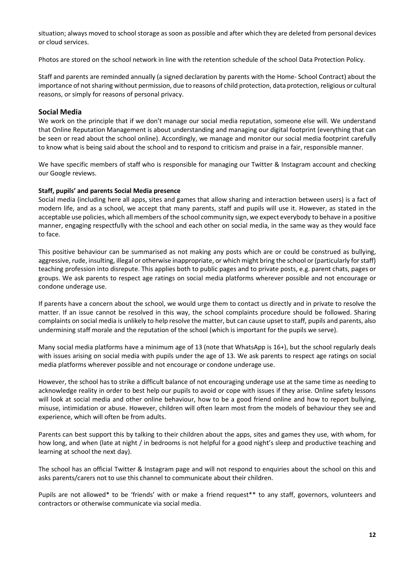situation; always moved to school storage as soon as possible and after which they are deleted from personal devices or cloud services.

Photos are stored on the school network in line with the retention schedule of the school Data Protection Policy.

Staff and parents are reminded annually (a signed declaration by parents with the Home- School Contract) about the importance of not sharing without permission, due to reasons of child protection, data protection, religious or cultural reasons, or simply for reasons of personal privacy.

## **Social Media**

We work on the principle that if we don't manage our social media reputation, someone else will. We understand that Online Reputation Management is about understanding and managing our digital footprint (everything that can be seen or read about the school online). Accordingly, we manage and monitor our social media footprint carefully to know what is being said about the school and to respond to criticism and praise in a fair, responsible manner.

We have specific members of staff who is responsible for managing our Twitter & Instagram account and checking our Google reviews.

#### **Staff, pupils' and parents Social Media presence**

Social media (including here all apps, sites and games that allow sharing and interaction between users) is a fact of modern life, and as a school, we accept that many parents, staff and pupils will use it. However, as stated in the acceptable use policies, which all members of the school community sign, we expect everybody to behave in a positive manner, engaging respectfully with the school and each other on social media, in the same way as they would face to face.

This positive behaviour can be summarised as not making any posts which are or could be construed as bullying, aggressive, rude, insulting, illegal or otherwise inappropriate, or which might bring the school or (particularly for staff) teaching profession into disrepute. This applies both to public pages and to private posts, e.g. parent chats, pages or groups. We ask parents to respect age ratings on social media platforms wherever possible and not encourage or condone underage use.

If parents have a concern about the school, we would urge them to contact us directly and in private to resolve the matter. If an issue cannot be resolved in this way, the school complaints procedure should be followed. Sharing complaints on social media is unlikely to help resolve the matter, but can cause upset to staff, pupils and parents, also undermining staff morale and the reputation of the school (which is important for the pupils we serve).

Many social media platforms have a minimum age of 13 (note that WhatsApp is 16+), but the school regularly deals with issues arising on social media with pupils under the age of 13. We ask parents to respect age ratings on social media platforms wherever possible and not encourage or condone underage use.

However, the school has to strike a difficult balance of not encouraging underage use at the same time as needing to acknowledge reality in order to best help our pupils to avoid or cope with issues if they arise. Online safety lessons will look at social media and other online behaviour, how to be a good friend online and how to report bullying, misuse, intimidation or abuse. However, children will often learn most from the models of behaviour they see and experience, which will often be from adults.

Parents can best support this by talking to their children about the apps, sites and games they use, with whom, for how long, and when (late at night / in bedrooms is not helpful for a good night's sleep and productive teaching and learning at school the next day).

The school has an official Twitter & Instagram page and will not respond to enquiries about the school on this and asks parents/carers not to use this channel to communicate about their children.

Pupils are not allowed\* to be 'friends' with or make a friend request\*\* to any staff, governors, volunteers and contractors or otherwise communicate via social media.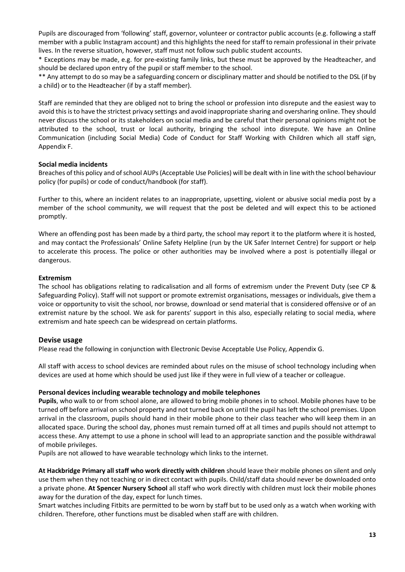Pupils are discouraged from 'following' staff, governor, volunteer or contractor public accounts (e.g. following a staff member with a public Instagram account) and this highlights the need for staff to remain professional in their private lives. In the reverse situation, however, staff must not follow such public student accounts.

\* Exceptions may be made, e.g. for pre-existing family links, but these must be approved by the Headteacher, and should be declared upon entry of the pupil or staff member to the school.

\*\* Any attempt to do so may be a safeguarding concern or disciplinary matter and should be notified to the DSL (if by a child) or to the Headteacher (if by a staff member).

Staff are reminded that they are obliged not to bring the school or profession into disrepute and the easiest way to avoid this is to have the strictest privacy settings and avoid inappropriate sharing and oversharing online. They should never discuss the school or its stakeholders on social media and be careful that their personal opinions might not be attributed to the school, trust or local authority, bringing the school into disrepute. We have an Online Communication (including Social Media) Code of Conduct for Staff Working with Children which all staff sign, Appendix F.

#### **Social media incidents**

Breaches of this policy and of school AUPs (Acceptable Use Policies) will be dealt with in line with the school behaviour policy (for pupils) or code of conduct/handbook (for staff).

Further to this, where an incident relates to an inappropriate, upsetting, violent or abusive social media post by a member of the school community, we will request that the post be deleted and will expect this to be actioned promptly.

Where an offending post has been made by a third party, the school may report it to the platform where it is hosted, and may contact the Professionals' Online Safety Helpline (run by the UK Safer Internet Centre) for support or help to accelerate this process. The police or other authorities may be involved where a post is potentially illegal or dangerous.

#### **Extremism**

The school has obligations relating to radicalisation and all forms of extremism under the Prevent Duty (see CP & Safeguarding Policy). Staff will not support or promote extremist organisations, messages or individuals, give them a voice or opportunity to visit the school, nor browse, download or send material that is considered offensive or of an extremist nature by the school. We ask for parents' support in this also, especially relating to social media, where extremism and hate speech can be widespread on certain platforms.

#### **Devise usage**

Please read the following in conjunction with Electronic Devise Acceptable Use Policy, Appendix G.

All staff with access to school devices are reminded about rules on the misuse of school technology including when devices are used at home which should be used just like if they were in full view of a teacher or colleague.

#### **Personal devices including wearable technology and mobile telephones**

**Pupils**, who walk to or from school alone, are allowed to bring mobile phones in to school. Mobile phones have to be turned off before arrival on school property and not turned back on until the pupil has left the school premises. Upon arrival in the classroom, pupils should hand in their mobile phone to their class teacher who will keep them in an allocated space. During the school day, phones must remain turned off at all times and pupils should not attempt to access these. Any attempt to use a phone in school will lead to an appropriate sanction and the possible withdrawal of mobile privileges.

Pupils are not allowed to have wearable technology which links to the internet.

**At Hackbridge Primary all staff who work directly with children** should leave their mobile phones on silent and only use them when they not teaching or in direct contact with pupils. Child/staff data should never be downloaded onto a private phone. **At Spencer Nursery School** all staff who work directly with children must lock their mobile phones away for the duration of the day, expect for lunch times.

Smart watches including Fitbits are permitted to be worn by staff but to be used only as a watch when working with children. Therefore, other functions must be disabled when staff are with children.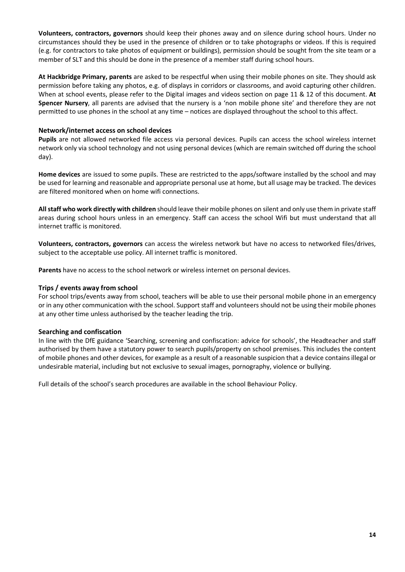**Volunteers, contractors, governors** should keep their phones away and on silence during school hours. Under no circumstances should they be used in the presence of children or to take photographs or videos. If this is required (e.g. for contractors to take photos of equipment or buildings), permission should be sought from the site team or a member of SLT and this should be done in the presence of a member staff during school hours.

**At Hackbridge Primary, parents** are asked to be respectful when using their mobile phones on site. They should ask permission before taking any photos, e.g. of displays in corridors or classrooms, and avoid capturing other children. When at school events, please refer to the Digital images and videos section on page 11 & 12 of this document. **At Spencer Nursery**, all parents are advised that the nursery is a 'non mobile phone site' and therefore they are not permitted to use phones in the school at any time – notices are displayed throughout the school to this affect.

#### **Network/internet access on school devices**

**Pupils** are not allowed networked file access via personal devices. Pupils can access the school wireless internet network only via school technology and not using personal devices (which are remain switched off during the school day).

**Home devices** are issued to some pupils. These are restricted to the apps/software installed by the school and may be used for learning and reasonable and appropriate personal use at home, but all usage may be tracked. The devices are filtered monitored when on home wifi connections.

**All staff who work directly with children** should leave their mobile phones on silent and only use them in private staff areas during school hours unless in an emergency. Staff can access the school Wifi but must understand that all internet traffic is monitored.

**Volunteers, contractors, governors** can access the wireless network but have no access to networked files/drives, subject to the acceptable use policy. All internet traffic is monitored.

**Parents** have no access to the school network or wireless internet on personal devices.

#### **Trips / events away from school**

For school trips/events away from school, teachers will be able to use their personal mobile phone in an emergency or in any other communication with the school. Support staff and volunteers should not be using their mobile phones at any other time unless authorised by the teacher leading the trip.

#### **Searching and confiscation**

In line with the DfE guidance 'Searching, screening and confiscation: advice for schools', the Headteacher and staff authorised by them have a statutory power to search pupils/property on school premises. This includes the content of mobile phones and other devices, for example as a result of a reasonable suspicion that a device contains illegal or undesirable material, including but not exclusive to sexual images, pornography, violence or bullying.

Full details of the school's search procedures are available in the school Behaviour Policy.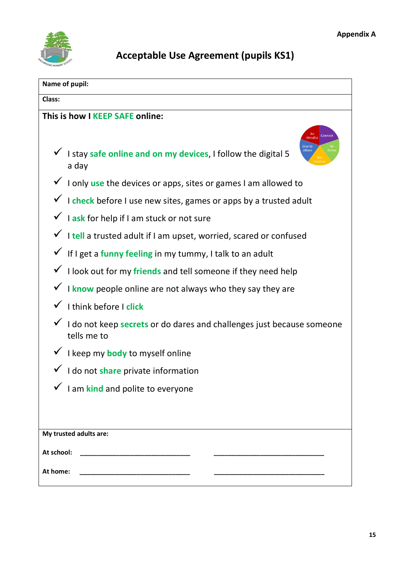

# **Acceptable Use Agreement (pupils KS1)**

| Name of pupil:                                                                                                    |
|-------------------------------------------------------------------------------------------------------------------|
| Class:                                                                                                            |
| This is how I KEEP SAFE online:                                                                                   |
| Connect<br>Mindfu<br>Give to<br>others<br>√ I stay safe online and on my devices, I follow the digital 5<br>a day |
| √ I only use the devices or apps, sites or games I am allowed to                                                  |
| √ I check before I use new sites, games or apps by a trusted adult                                                |
| Iask for help if I am stuck or not sure                                                                           |
| √ I tell a trusted adult if I am upset, worried, scared or confused                                               |
| √ If I get a funny feeling in my tummy, I talk to an adult                                                        |
| $\checkmark$ I look out for my friends and tell someone if they need help                                         |
| I know people online are not always who they say they are                                                         |
| √ I think before I click                                                                                          |
| √ I do not keep secrets or do dares and challenges just because someone<br>tells me to                            |
| V I keep my body to myself online                                                                                 |
| I do not share private information                                                                                |
| I am kind and polite to everyone                                                                                  |
|                                                                                                                   |
|                                                                                                                   |
| My trusted adults are:                                                                                            |
| At school:                                                                                                        |
| At home:                                                                                                          |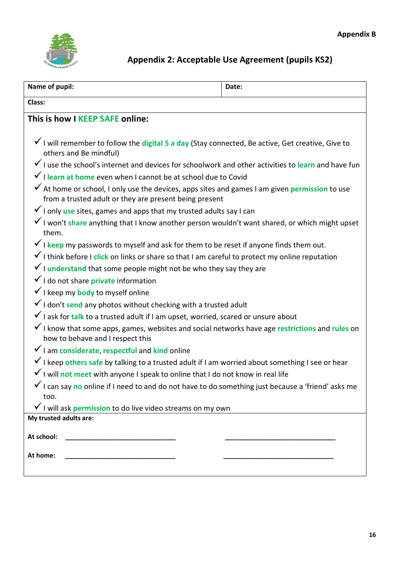# **Appendix 2: Acceptable Use Agreement (pupils KS2)**

| Name of pupil:                                                                                                                                           | Date: |
|----------------------------------------------------------------------------------------------------------------------------------------------------------|-------|
| Class:                                                                                                                                                   |       |
| This is how I KEEP SAFE online:                                                                                                                          |       |
|                                                                                                                                                          |       |
| $\checkmark$ I will remember to follow the digital 5 a day (Stay connected, Be active, Get creative, Give to<br>others and Be mindful)                   |       |
| √ I use the school's internet and devices for schoolwork and other activities to learn and have fun                                                      |       |
| V I learn at home even when I cannot be at school due to Covid                                                                                           |       |
| √ At home or school, I only use the devices, apps sites and games I am given permission to use<br>from a trusted adult or they are present being present |       |
| √ I only use sites, games and apps that my trusted adults say I can                                                                                      |       |
| √ I won't share anything that I know another person wouldn't want shared, or which might upset<br>them.                                                  |       |
| $\checkmark$ I keep my passwords to myself and ask for them to be reset if anyone finds them out.                                                        |       |
| I think before I click on links or share so that I am careful to protect my online reputation                                                            |       |
| V I understand that some people might not be who they say they are                                                                                       |       |
| V I do not share <i>private</i> information                                                                                                              |       |
| V I keep my body to myself online                                                                                                                        |       |
| V I don't send any photos without checking with a trusted adult                                                                                          |       |
| √ I ask for talk to a trusted adult if I am upset, worried, scared or unsure about                                                                       |       |
| √ I know that some apps, games, websites and social networks have age restrictions and rules on<br>how to behave and I respect this                      |       |
| I am considerate, respectful and kind online                                                                                                             |       |
| √ I keep others safe by talking to a trusted adult if I am worried about something I see or hear                                                         |       |
| √ I will not meet with anyone I speak to online that I do not know in real life                                                                          |       |
| I can say no online if I need to and do not have to do something just because a 'friend' asks me                                                         |       |
| too.                                                                                                                                                     |       |
| √ I will ask permission to do live video streams on my own                                                                                               |       |
| My trusted adults are:                                                                                                                                   |       |
| At school:<br><u> 1990 - Johann Barn, mars ann an t-Amhain an t-Amhain an t-Amhain an t-Amhain an t-Amhain an t-Amhain an t-Amh</u>                      |       |
| At home:                                                                                                                                                 |       |
|                                                                                                                                                          |       |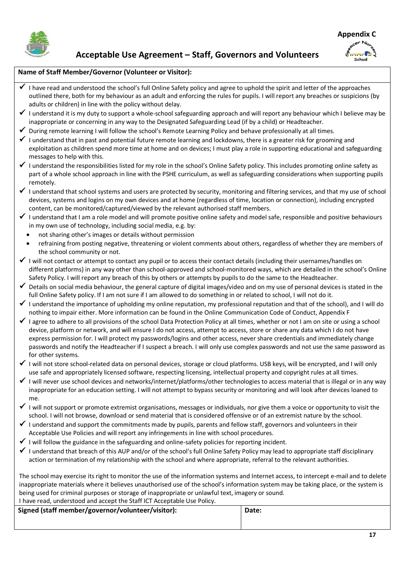



### **Name of Staff Member/Governor (Volunteer or Visitor):**

- $\checkmark$  I have read and understood the school's full Online Safety policy and agree to uphold the spirit and letter of the approaches outlined there, both for my behaviour as an adult and enforcing the rules for pupils. I will report any breaches or suspicions (by adults or children) in line with the policy without delay.
- $\checkmark$  I understand it is my duty to support a whole-school safeguarding approach and will report any behaviour which I believe may be inappropriate or concerning in any way to the Designated Safeguarding Lead (if by a child) or Headteacher.
- During remote learning I will follow the school's Remote Learning Policy and behave professionally at all times.
- I understand that in past and potential future remote learning and lockdowns, there is a greater risk for grooming and exploitation as children spend more time at home and on devices; I must play a role in supporting educational and safeguarding messages to help with this.
- I understand the responsibilities listed for my role in the school's Online Safety policy. This includes promoting online safety as part of a whole school approach in line with the PSHE curriculum, as well as safeguarding considerations when supporting pupils remotely.
- $\checkmark$  I understand that school systems and users are protected by security, monitoring and filtering services, and that my use of school devices, systems and logins on my own devices and at home (regardless of time, location or connection), including encrypted content, can be monitored/captured/viewed by the relevant authorised staff members.
- $\checkmark$  I understand that I am a role model and will promote positive online safety and model safe, responsible and positive behaviours in my own use of technology, including social media, e.g. by:
	- not sharing other's images or details without permission
	- refraining from posting negative, threatening or violent comments about others, regardless of whether they are members of the school community or not.
- $\checkmark$  I will not contact or attempt to contact any pupil or to access their contact details (including their usernames/handles on different platforms) in any way other than school-approved and school-monitored ways, which are detailed in the school's Online Safety Policy. I will report any breach of this by others or attempts by pupils to do the same to the Headteacher.
- $\checkmark$  Details on social media behaviour, the general capture of digital images/video and on my use of personal devices is stated in the full Online Safety policy. If I am not sure if I am allowed to do something in or related to school, I will not do it.
- I understand the importance of upholding my online reputation, my professional reputation and that of the school), and I will do nothing to impair either. More information can be found in the Online Communication Code of Conduct, Appendix F
- $\checkmark$  I agree to adhere to all provisions of the school Data Protection Policy at all times, whether or not I am on site or using a school device, platform or network, and will ensure I do not access, attempt to access, store or share any data which I do not have express permission for. I will protect my passwords/logins and other access, never share credentials and immediately change passwords and notify the Headteacher if I suspect a breach. I will only use complex passwords and not use the same password as for other systems.
- $\checkmark$  I will not store school-related data on personal devices, storage or cloud platforms. USB keys, will be encrypted, and I will only use safe and appropriately licensed software, respecting licensing, intellectual property and copyright rules at all times.
- $\checkmark$  I will never use school devices and networks/internet/platforms/other technologies to access material that is illegal or in any way inappropriate for an education setting. I will not attempt to bypass security or monitoring and will look after devices loaned to me.
- $\checkmark$  I will not support or promote extremist organisations, messages or individuals, nor give them a voice or opportunity to visit the school. I will not browse, download or send material that is considered offensive or of an extremist nature by the school.
- $\checkmark$  I understand and support the commitments made by pupils, parents and fellow staff, governors and volunteers in their Acceptable Use Policies and will report any infringements in line with school procedures.
- $\checkmark$  I will follow the guidance in the safeguarding and online-safety policies for reporting incident.
- $\checkmark$  I understand that breach of this AUP and/or of the school's full Online Safety Policy may lead to appropriate staff disciplinary action or termination of my relationship with the school and where appropriate, referral to the relevant authorities.

The school may exercise its right to monitor the use of the information systems and Internet access, to intercept e-mail and to delete inappropriate materials where it believes unauthorised use of the school's information system may be taking place, or the system is being used for criminal purposes or storage of inappropriate or unlawful text, imagery or sound.

I have read, understood and accept the Staff ICT Acceptable Use Policy.

| Signed (staff member/governor/volunteer/visitor): | Date: |
|---------------------------------------------------|-------|
|                                                   |       |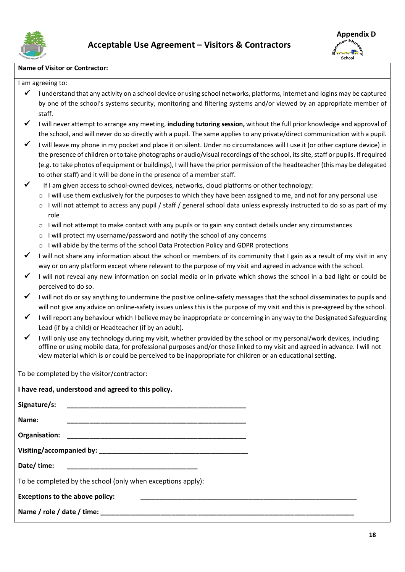



#### **Name of Visitor or Contractor:**

#### I am agreeing to:

- I understand that any activity on a school device or using school networks, platforms, internet and logins may be captured by one of the school's systems security, monitoring and filtering systems and/or viewed by an appropriate member of staff.
- I will never attempt to arrange any meeting, **including tutoring session,** without the full prior knowledge and approval of the school, and will never do so directly with a pupil. The same applies to any private/direct communication with a pupil.
- $\checkmark$  I will leave my phone in my pocket and place it on silent. Under no circumstances will I use it (or other capture device) in the presence of children or to take photographs or audio/visual recordings of the school, its site, staff or pupils. If required (e.g. to take photos of equipment or buildings), I will have the prior permission of the headteacher (this may be delegated to other staff) and it will be done in the presence of a member staff.
- $\checkmark$  If I am given access to school-owned devices, networks, cloud platforms or other technology:
	- o I will use them exclusively for the purposes to which they have been assigned to me, and not for any personal use
	- $\circ$  I will not attempt to access any pupil / staff / general school data unless expressly instructed to do so as part of my role
	- $\circ$  I will not attempt to make contact with any pupils or to gain any contact details under any circumstances
	- o I will protect my username/password and notify the school of any concerns
	- o I will abide by the terms of the school Data Protection Policy and GDPR protections
- I will not share any information about the school or members of its community that I gain as a result of my visit in any way or on any platform except where relevant to the purpose of my visit and agreed in advance with the school.
- I will not reveal any new information on social media or in private which shows the school in a bad light or could be perceived to do so.
- I will not do or say anything to undermine the positive online-safety messages that the school disseminates to pupils and will not give any advice on online-safety issues unless this is the purpose of my visit and this is pre-agreed by the school.
- I will report any behaviour which I believe may be inappropriate or concerning in any way to the Designated Safeguarding Lead (if by a child) or Headteacher (if by an adult).
- $\checkmark$  I will only use any technology during my visit, whether provided by the school or my personal/work devices, including offline or using mobile data, for professional purposes and/or those linked to my visit and agreed in advance. I will not view material which is or could be perceived to be inappropriate for children or an educational setting.

To be completed by the visitor/contractor:

| I have read, understood and agreed to this policy.                                                                            |
|-------------------------------------------------------------------------------------------------------------------------------|
| Signature/s:                                                                                                                  |
| Name:<br><u> 1999 - Johann John Harry Harry Harry Harry Harry Harry Harry Harry Harry Harry Harry Harry Harry Harry Harry</u> |
|                                                                                                                               |
|                                                                                                                               |
| Date/time:                                                                                                                    |
| To be completed by the school (only when exceptions apply):                                                                   |
| <b>Exceptions to the above policy:</b>                                                                                        |
| Name / role / date / time:                                                                                                    |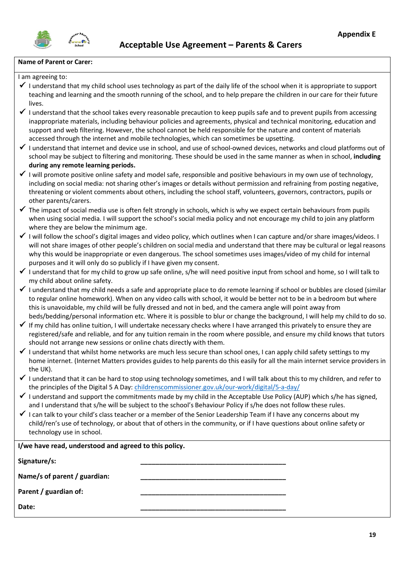

#### **Name of Parent or Carer:**

#### I am agreeing to:

- I understand that my child school uses technology as part of the daily life of the school when it is appropriate to support teaching and learning and the smooth running of the school, and to help prepare the children in our care for their future lives.
- $\checkmark$  I understand that the school takes every reasonable precaution to keep pupils safe and to prevent pupils from accessing inappropriate materials, including behaviour policies and agreements, physical and technical monitoring, education and support and web filtering. However, the school cannot be held responsible for the nature and content of materials accessed through the internet and mobile technologies, which can sometimes be upsetting.
- $\checkmark$  I understand that internet and device use in school, and use of school-owned devices, networks and cloud platforms out of school may be subject to filtering and monitoring. These should be used in the same manner as when in school, **including during any remote learning periods.**
- $\checkmark$  I will promote positive online safety and model safe, responsible and positive behaviours in my own use of technology, including on social media: not sharing other's images or details without permission and refraining from posting negative, threatening or violent comments about others, including the school staff, volunteers, governors, contractors, pupils or other parents/carers.
- $\checkmark$  The impact of social media use is often felt strongly in schools, which is why we expect certain behaviours from pupils when using social media. I will support the school's social media policy and not encourage my child to join any platform where they are below the minimum age.
- $\checkmark$  I will follow the school's digital images and video policy, which outlines when I can capture and/or share images/videos. I will not share images of other people's children on social media and understand that there may be cultural or legal reasons why this would be inappropriate or even dangerous. The school sometimes uses images/video of my child for internal purposes and it will only do so publicly if I have given my consent.
- $\checkmark$  I understand that for my child to grow up safe online, s/he will need positive input from school and home, so I will talk to my child about online safety.
- I understand that my child needs a safe and appropriate place to do remote learning if school or bubbles are closed (similar to regular online homework). When on any video calls with school, it would be better not to be in a bedroom but where this is unavoidable, my child will be fully dressed and not in bed, and the camera angle will point away from beds/bedding/personal information etc. Where it is possible to blur or change the background, I will help my child to do so.
- If my child has online tuition, I will undertake necessary checks where I have arranged this privately to ensure they are registered/safe and reliable, and for any tuition remain in the room where possible, and ensure my child knows that tutors should not arrange new sessions or online chats directly with them.
- I understand that whilst home networks are much less secure than school ones, I can apply child safety settings to my home internet. (Internet Matters provides guides to help parents do this easily for all the main internet service providers in the UK).
- I understand that it can be hard to stop using technology sometimes, and I will talk about this to my children, and refer to the principles of the Digital 5 A Day[: childrenscommissioner.gov.uk/our-work/digital/5-a-day/](https://www.childrenscommissioner.gov.uk/our-work/digital/5-a-day/)
- $\checkmark$  I understand and support the commitments made by my child in the Acceptable Use Policy (AUP) which s/he has signed, and I understand that s/he will be subject to the school's Behaviour Policy if s/he does not follow these rules.
- I can talk to your child's class teacher or a member of the Senior Leadership Team if I have any concerns about my child/ren's use of technology, or about that of others in the community, or if I have questions about online safety or technology use in school.

| I/we have read, understood and agreed to this policy. |  |  |  |
|-------------------------------------------------------|--|--|--|
| Signature/s:                                          |  |  |  |
| Name/s of parent / guardian:                          |  |  |  |
| Parent / guardian of:                                 |  |  |  |
| Date:                                                 |  |  |  |
|                                                       |  |  |  |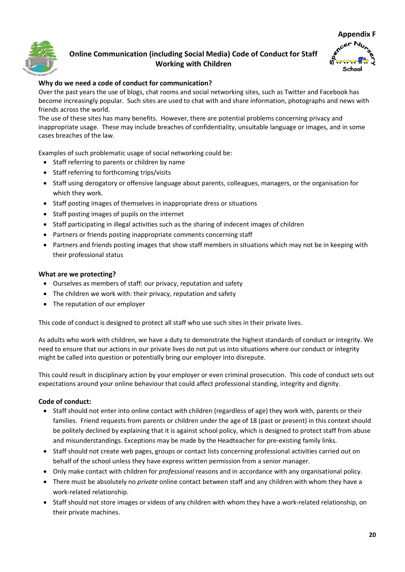

# **Online Communication (including Social Media) Code of Conduct for Staff Working with Children**



# **Why do we need a code of conduct for communication?**

Over the past years the use of blogs, chat rooms and social networking sites, such as Twitter and Facebook has become increasingly popular. Such sites are used to chat with and share information, photographs and news with friends across the world.

The use of these sites has many benefits. However, there are potential problems concerning privacy and inappropriate usage. These may include breaches of confidentiality, unsuitable language or images, and in some cases breaches of the law.

Examples of such problematic usage of social networking could be:

- Staff referring to parents or children by name
- Staff referring to forthcoming trips/visits
- Staff using derogatory or offensive language about parents, colleagues, managers, or the organisation for which they work.
- Staff posting images of themselves in inappropriate dress or situations
- Staff posting images of pupils on the internet
- Staff participating in illegal activities such as the sharing of indecent images of children
- Partners or friends posting inappropriate comments concerning staff
- Partners and friends posting images that show staff members in situations which may not be in keeping with their professional status

# **What are we protecting?**

- Ourselves as members of staff: our privacy, reputation and safety
- The children we work with: their privacy, reputation and safety
- The reputation of our employer

This code of conduct is designed to protect all staff who use such sites in their private lives.

As adults who work with children, we have a duty to demonstrate the highest standards of conduct or integrity. We need to ensure that our actions in our private lives do not put us into situations where our conduct or integrity might be called into question or potentially bring our employer into disrepute.

This could result in disciplinary action by your employer or even criminal prosecution. This code of conduct sets out expectations around your online behaviour that could affect professional standing, integrity and dignity.

# **Code of conduct:**

- Staff should not enter into online contact with children (regardless of age) they work with, parents or their families. Friend requests from parents or children under the age of 18 (past or present) in this context should be politely declined by explaining that it is against school policy, which is designed to protect staff from abuse and misunderstandings. Exceptions may be made by the Headteacher for pre-existing family links.
- Staff should not create web pages, groups or contact lists concerning professional activities carried out on behalf of the school unless they have express written permission from a senior manager.
- Only make contact with children for *professional* reasons and in accordance with any organisational policy.
- There must be absolutely no *private* online contact between staff and any children with whom they have a work-related relationship.
- Staff should not store images or videos of any children with whom they have a work-related relationship, on their private machines.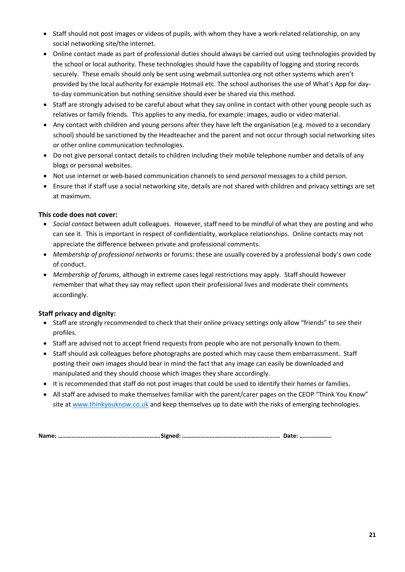- Staff should not post images or videos of pupils, with whom they have a work-related relationship, on any social networking site/the internet.
- Online contact made as part of professional duties should always be carried out using technologies provided by the school or local authority. These technologies should have the capability of logging and storing records securely. These emails should only be sent using webmail.suttonlea.org not other systems which aren't provided by the local authority for example Hotmail etc. The school authorises the use of What's App for dayto-day communication but nothing sensitive should ever be shared via this method.
- Staff are strongly advised to be careful about what they say online in contact with other young people such as relatives or family friends. This applies to any media, for example: images, audio or video material.
- Any contact with children and young persons after they have left the organisation (e.g. moved to a secondary school) should be sanctioned by the Headteacher and the parent and not occur through social networking sites or other online communication technologies.
- Do not give personal contact details to children including their mobile telephone number and details of any blogs or personal websites.
- Not use internet or web-based communication channels to send *personal* messages to a child person.
- Ensure that if staff use a social networking site, details are not shared with children and privacy settings are set at maximum.

# **This code does not cover:**

- *Social contact* between adult colleagues. However, staff need to be mindful of what they are posting and who can see it. This is important in respect of confidentiality, workplace relationships. Online contacts may not appreciate the difference between private and professional comments.
- *Membership of professional networks* or forums: these are usually covered by a professional body's own code of conduct.
- *Membership of forums*, although in extreme cases legal restrictions may apply. Staff should however remember that what they say may reflect upon their professional lives and moderate their comments accordingly.

# **Staff privacy and dignity:**

- Staff are strongly recommended to check that their online privacy settings only allow "friends" to see their profiles.
- Staff are advised not to accept friend requests from people who are not personally known to them.
- Staff should ask colleagues before photographs are posted which may cause them embarrassment. Staff posting their own images should bear in mind the fact that any image can easily be downloaded and manipulated and they should choose which images they share accordingly.
- It is recommended that staff do not post images that could be used to identify their homes or families.
- All staff are advised to make themselves familiar with the parent/carer pages on the CEOP "Think You Know" site a[t www.thinkyouknow.co.uk](http://www.thinkyouknow.co.uk/) and keep themselves up to date with the risks of emerging technologies.